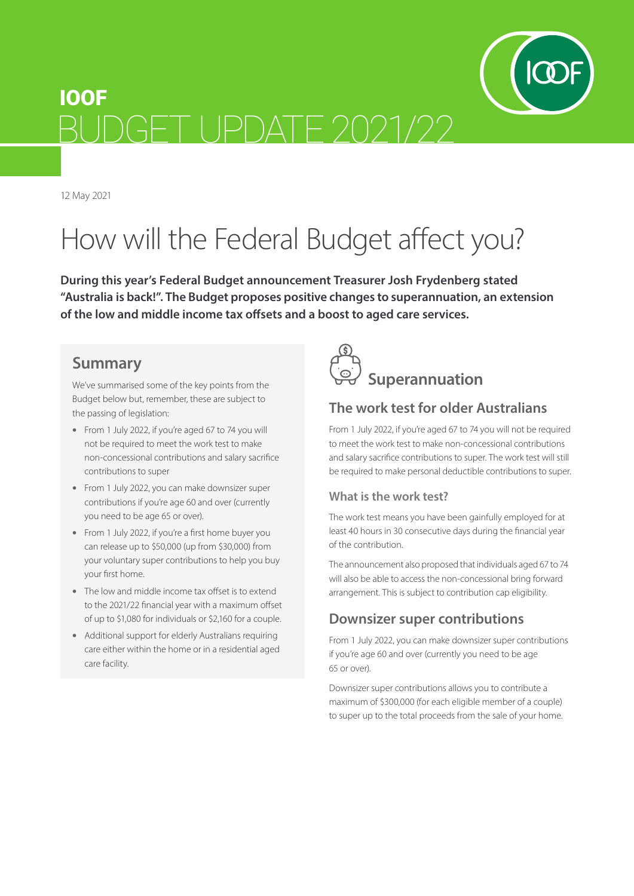

12 May 2021

# How will the Federal Budget affect you?

**During this year's Federal Budget announcement Treasurer Josh Frydenberg stated "Australia is back!". The Budget proposes positive changes to superannuation, an extension of the low and middle income tax offsets and a boost to aged care services.**

#### **Summary**

We've summarised some of the key points from the Budget below but, remember, these are subject to the passing of legislation:

- From 1 July 2022, if you're aged 67 to 74 you will not be required to meet the work test to make non-concessional contributions and salary sacrifice contributions to super
- From 1 July 2022, you can make downsizer super contributions if you're age 60 and over (currently you need to be age 65 or over).
- From 1 July 2022, if you're a first home buyer you can release up to \$50,000 (up from \$30,000) from your voluntary super contributions to help you buy your first home.
- The low and middle income tax offset is to extend to the 2021/22 financial year with a maximum offset of up to \$1,080 for individuals or \$2,160 for a couple.
- Additional support for elderly Australians requiring care either within the home or in a residential aged care facility.



# **The work test for older Australians**

From 1 July 2022, if you're aged 67 to 74 you will not be required to meet the work test to make non-concessional contributions and salary sacrifice contributions to super. The work test will still be required to make personal deductible contributions to super.

#### **What is the work test?**

The work test means you have been gainfully employed for at least 40 hours in 30 consecutive days during the financial year of the contribution.

The announcement also proposed that individuals aged 67 to 74 will also be able to access the non-concessional bring forward arrangement. This is subject to contribution cap eligibility.

#### **Downsizer super contributions**

From 1 July 2022, you can make downsizer super contributions if you're age 60 and over (currently you need to be age 65 or over).

Downsizer super contributions allows you to contribute a maximum of \$300,000 (for each eligible member of a couple) to super up to the total proceeds from the sale of your home.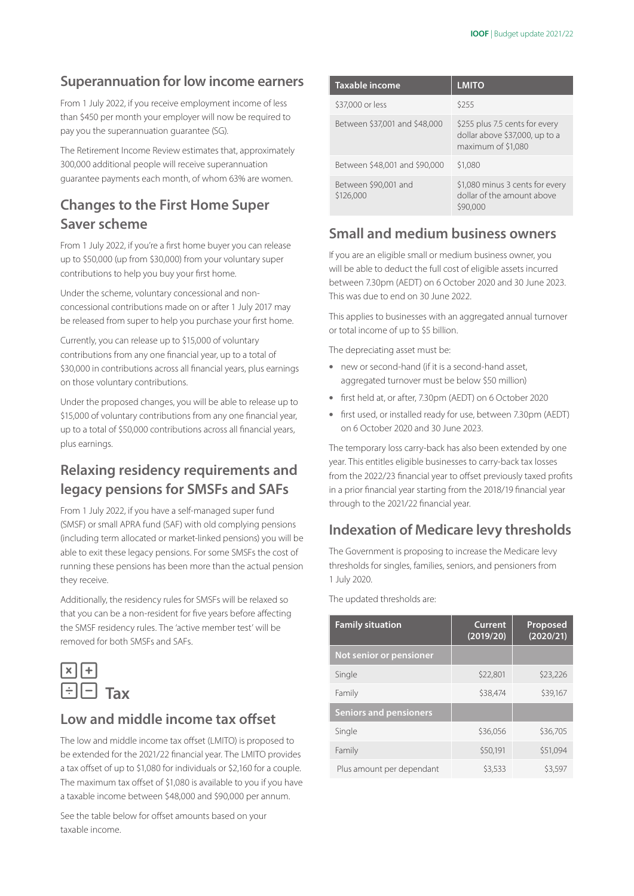#### **Superannuation for low income earners**

From 1 July 2022, if you receive employment income of less than \$450 per month your employer will now be required to pay you the superannuation guarantee (SG).

The Retirement Income Review estimates that, approximately 300,000 additional people will receive superannuation guarantee payments each month, of whom 63% are women.

# **Changes to the First Home Super Saver scheme**

From 1 July 2022, if you're a first home buyer you can release up to \$50,000 (up from \$30,000) from your voluntary super contributions to help you buy your first home.

Under the scheme, voluntary concessional and nonconcessional contributions made on or after 1 July 2017 may be released from super to help you purchase your first home.

Currently, you can release up to \$15,000 of voluntary contributions from any one financial year, up to a total of \$30,000 in contributions across all financial years, plus earnings on those voluntary contributions.

Under the proposed changes, you will be able to release up to \$15,000 of voluntary contributions from any one financial year, up to a total of \$50,000 contributions across all financial years, plus earnings.

# **Relaxing residency requirements and legacy pensions for SMSFs and SAFs**

From 1 July 2022, if you have a self-managed super fund (SMSF) or small APRA fund (SAF) with old complying pensions (including term allocated or market-linked pensions) you will be able to exit these legacy pensions. For some SMSFs the cost of running these pensions has been more than the actual pension they receive.

Additionally, the residency rules for SMSFs will be relaxed so that you can be a non-resident for five years before affecting the SMSF residency rules. The 'active member test' will be removed for both SMSFs and SAFs.



#### **Low and middle income tax offset**

The low and middle income tax offset (LMITO) is proposed to be extended for the 2021/22 financial year. The LMITO provides a tax offset of up to \$1,080 for individuals or \$2,160 for a couple. The maximum tax offset of \$1,080 is available to you if you have a taxable income between \$48,000 and \$90,000 per annum.

See the table below for offset amounts based on your taxable income.

| <b>Taxable income</b>             | <b>LMITO</b>                                                                           |
|-----------------------------------|----------------------------------------------------------------------------------------|
| \$37,000 or less                  | \$255                                                                                  |
| Between \$37,001 and \$48,000     | \$255 plus 7.5 cents for every<br>dollar above \$37,000, up to a<br>maximum of \$1,080 |
| Between \$48,001 and \$90,000     | \$1,080                                                                                |
| Between \$90,001 and<br>\$126,000 | \$1,080 minus 3 cents for every<br>dollar of the amount above<br>\$90,000              |

#### **Small and medium business owners**

If you are an eligible small or medium business owner, you will be able to deduct the full cost of eligible assets incurred between 7.30pm (AEDT) on 6 October 2020 and 30 June 2023. This was due to end on 30 June 2022.

This applies to businesses with an aggregated annual turnover or total income of up to \$5 billion.

The depreciating asset must be:

- new or second-hand (if it is a second-hand asset, aggregated turnover must be below \$50 million)
- first [held](https://www.ato.gov.au/Forms/Guide-to-depreciating-assets-2020/?anchor=Whocanclaimdeductionsforthedeclineinvalu#Whocanclaimdeductionsforthedeclineinvalu) at, or after, 7.30pm (AEDT) on 6 October 2020
- first used, or installed ready for use, between 7.30pm (AEDT) on 6 October 2020 and 30 June 2023.

The temporary loss carry-back has also been extended by one year. This entitles eligible businesses to carry-back tax losses from the 2022/23 financial year to offset previously taxed profits in a prior financial year starting from the 2018/19 financial year through to the 2021/22 financial year.

#### **Indexation of Medicare levy thresholds**

The Government is proposing to increase the Medicare levy thresholds for singles, families, seniors, and pensioners from 1 July 2020.

The updated thresholds are:

| <b>Family situation</b>       | <b>Current</b><br>(2019/20) | Proposed<br>(2020/21) |
|-------------------------------|-----------------------------|-----------------------|
| Not senior or pensioner       |                             |                       |
| Single                        | \$22,801                    | \$23,226              |
| Family                        | \$38,474                    | \$39,167              |
| <b>Seniors and pensioners</b> |                             |                       |
| Single                        | \$36,056                    | \$36,705              |
| Family                        | \$50,191                    | \$51,094              |
| Plus amount per dependant     | \$3,533                     | \$3.597               |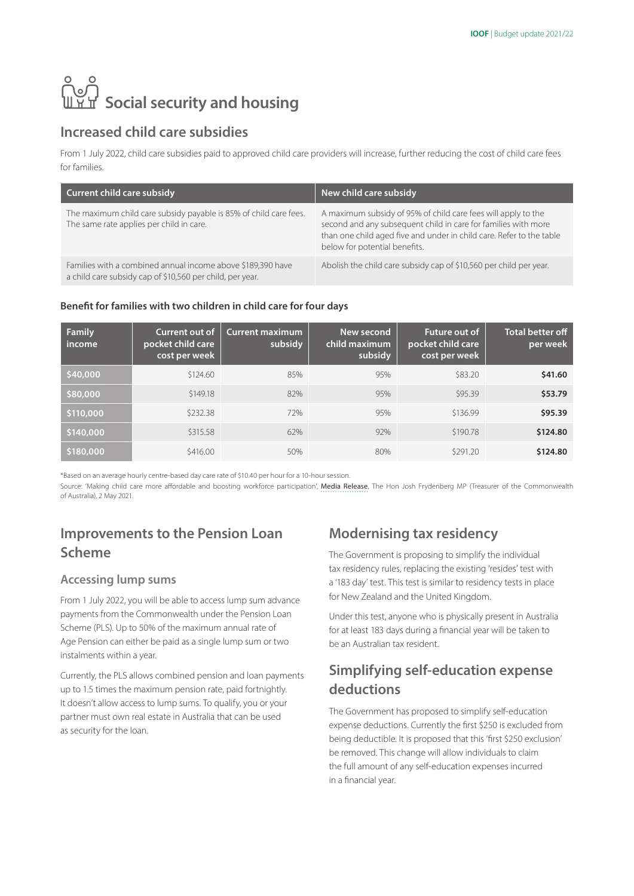# **ြိ**ပ္ပါ<br>။ Yu Social security and housing

#### **Increased child care subsidies**

From 1 July 2022, child care subsidies paid to approved child care providers will increase, further reducing the cost of child care fees for families.

| Current child care subsidy                                                                                               | New child care subsidy                                                                                                                                                                                                                   |
|--------------------------------------------------------------------------------------------------------------------------|------------------------------------------------------------------------------------------------------------------------------------------------------------------------------------------------------------------------------------------|
| The maximum child care subsidy payable is 85% of child care fees.<br>The same rate applies per child in care.            | A maximum subsidy of 95% of child care fees will apply to the<br>second and any subsequent child in care for families with more<br>than one child aged five and under in child care. Refer to the table<br>below for potential benefits. |
| Families with a combined annual income above \$189,390 have<br>a child care subsidy cap of \$10,560 per child, per year. | Abolish the child care subsidy cap of \$10,560 per child per year.                                                                                                                                                                       |

#### **Benefit for families with two children in child care for four days**

| <b>Family</b><br>income | Current out of<br>pocket child care<br>cost per week | <b>Current maximum</b><br>subsidy | New second<br>child maximum<br>subsidy | <b>Future out of</b><br>pocket child care<br>cost per week | <b>Total better off</b><br>per week |
|-------------------------|------------------------------------------------------|-----------------------------------|----------------------------------------|------------------------------------------------------------|-------------------------------------|
| \$40,000                | \$124.60                                             | 85%                               | 95%                                    | \$83.20                                                    | \$41.60                             |
| \$80,000                | \$149.18                                             | 82%                               | 95%                                    | \$95.39                                                    | \$53.79                             |
| \$110,000               | \$232.38                                             | 72%                               | 95%                                    | \$136.99                                                   | \$95.39                             |
| \$140,000               | \$315.58                                             | 62%                               | 92%                                    | \$190.78                                                   | \$124.80                            |
| \$180,000               | \$416.00                                             | 50%                               | 80%                                    | \$291.20                                                   | \$124.80                            |

\*Based on an average hourly centre-based day care rate of \$10.40 per hour for a 10-hour session.

Source: 'Making child care more affordable and boosting workforce participation', [Media Release](https://ministers.treasury.gov.au/ministers/josh-frydenberg-2018/media-releases/making-child-care-more-affordable-and-boosting), The Hon Josh Frydenberg MP (Treasurer of the Commonwealth of Australia), 2 May 2021.

# **Improvements to the Pension Loan Scheme**

#### **Accessing lump sums**

From 1 July 2022, you will be able to access lump sum advance payments from the Commonwealth under the Pension Loan Scheme (PLS). Up to 50% of the maximum annual rate of Age Pension can either be paid as a single lump sum or two instalments within a year.

Currently, the PLS allows combined pension and loan payments up to 1.5 times the maximum pension rate, paid fortnightly. It doesn't allow access to lump sums. To qualify, you or your partner must own real estate in Australia that can be used as security for the loan.

#### **Modernising tax residency**

The Government is proposing to simplify the individual tax residency rules, replacing the existing 'resides' test with a '183 day' test. This test is similar to residency tests in place for New Zealand and the United Kingdom.

Under this test, anyone who is physically present in Australia for at least 183 days during a financial year will be taken to be an Australian tax resident.

#### **Simplifying self-education expense deductions**

The Government has proposed to simplify self-education expense deductions. Currently the first \$250 is excluded from being deductible. It is proposed that this 'first \$250 exclusion' be removed. This change will allow individuals to claim the full amount of any self-education expenses incurred in a financial year.